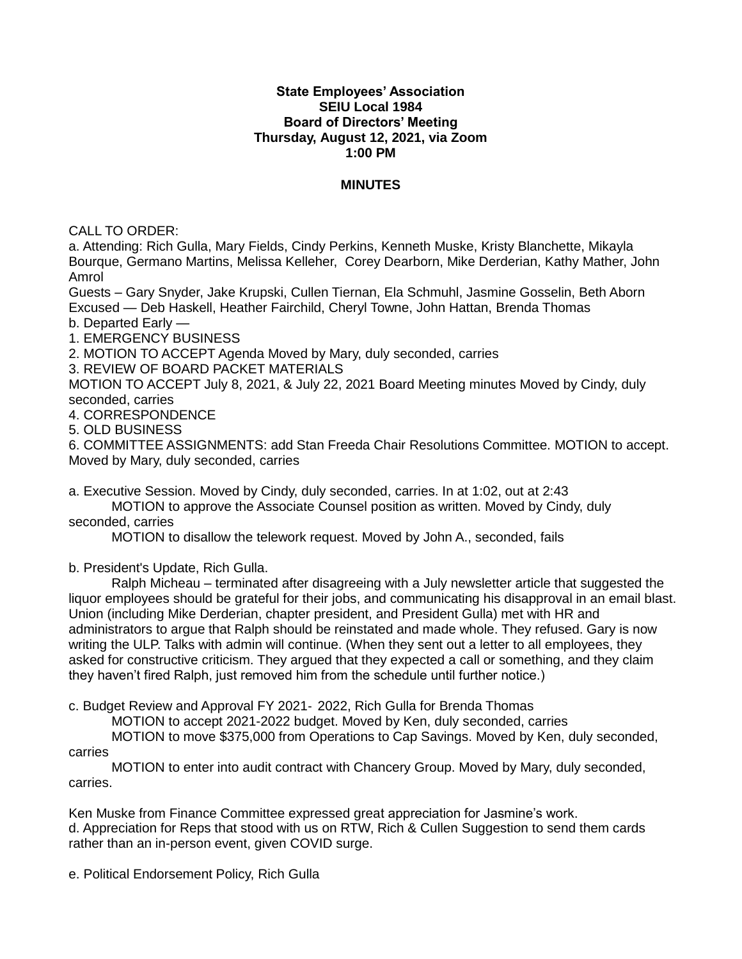## **State Employees' Association SEIU Local 1984 Board of Directors' Meeting Thursday, August 12, 2021, via Zoom 1:00 PM**

## **MINUTES**

CALL TO ORDER:

a. Attending: Rich Gulla, Mary Fields, Cindy Perkins, Kenneth Muske, Kristy Blanchette, Mikayla Bourque, Germano Martins, Melissa Kelleher, Corey Dearborn, Mike Derderian, Kathy Mather, John Amrol

Guests – Gary Snyder, Jake Krupski, Cullen Tiernan, Ela Schmuhl, Jasmine Gosselin, Beth Aborn Excused — Deb Haskell, Heather Fairchild, Cheryl Towne, John Hattan, Brenda Thomas

b. Departed Early —

1. EMERGENCY BUSINESS

2. MOTION TO ACCEPT Agenda Moved by Mary, duly seconded, carries

3. REVIEW OF BOARD PACKET MATERIALS

MOTION TO ACCEPT July 8, 2021, & July 22, 2021 Board Meeting minutes Moved by Cindy, duly seconded, carries

4. CORRESPONDENCE

5. OLD BUSINESS

6. COMMITTEE ASSIGNMENTS: add Stan Freeda Chair Resolutions Committee. MOTION to accept. Moved by Mary, duly seconded, carries

a. Executive Session. Moved by Cindy, duly seconded, carries. In at 1:02, out at 2:43

MOTION to approve the Associate Counsel position as written. Moved by Cindy, duly seconded, carries

MOTION to disallow the telework request. Moved by John A., seconded, fails

b. President's Update, Rich Gulla.

Ralph Micheau – terminated after disagreeing with a July newsletter article that suggested the liquor employees should be grateful for their jobs, and communicating his disapproval in an email blast. Union (including Mike Derderian, chapter president, and President Gulla) met with HR and administrators to argue that Ralph should be reinstated and made whole. They refused. Gary is now writing the ULP. Talks with admin will continue. (When they sent out a letter to all employees, they asked for constructive criticism. They argued that they expected a call or something, and they claim they haven't fired Ralph, just removed him from the schedule until further notice.)

c. Budget Review and Approval FY 2021‐ 2022, Rich Gulla for Brenda Thomas

MOTION to accept 2021-2022 budget. Moved by Ken, duly seconded, carries

MOTION to move \$375,000 from Operations to Cap Savings. Moved by Ken, duly seconded, carries

MOTION to enter into audit contract with Chancery Group. Moved by Mary, duly seconded, carries.

Ken Muske from Finance Committee expressed great appreciation for Jasmine's work. d. Appreciation for Reps that stood with us on RTW, Rich & Cullen Suggestion to send them cards rather than an in-person event, given COVID surge.

e. Political Endorsement Policy, Rich Gulla